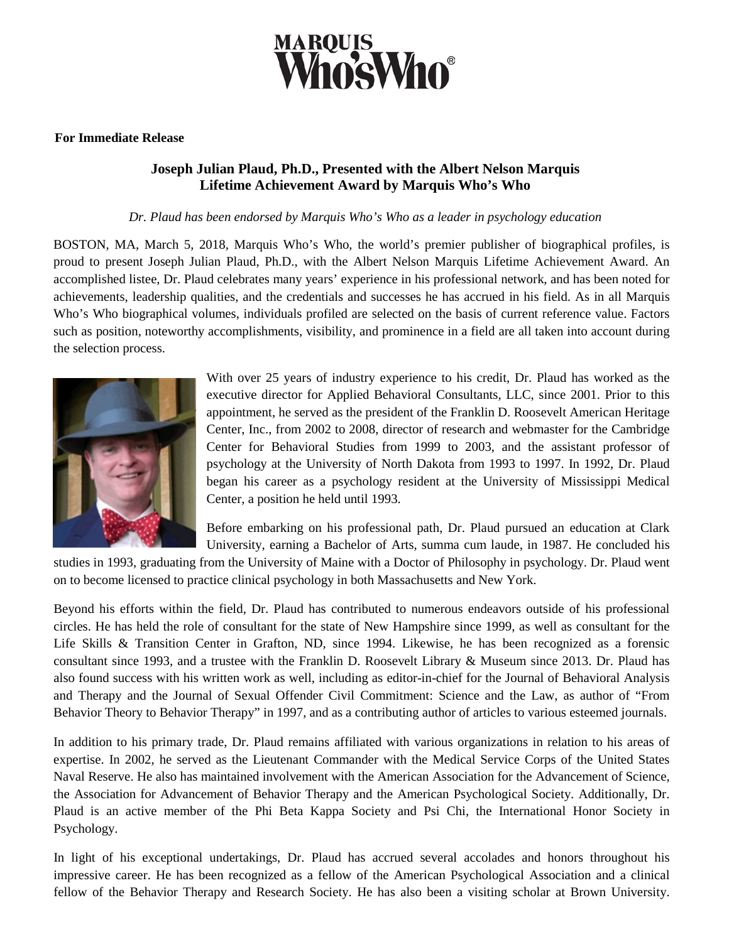

## **For Immediate Release**

## **Joseph Julian Plaud, Ph.D., Presented with the Albert Nelson Marquis Lifetime Achievement Award by Marquis Who's Who**

## *Dr. Plaud has been endorsed by Marquis Who's Who as a leader in psychology education*

BOSTON, MA, March 5, 2018, Marquis Who's Who, the world's premier publisher of biographical profiles, is proud to present Joseph Julian Plaud, Ph.D., with the Albert Nelson Marquis Lifetime Achievement Award. An accomplished listee, Dr. Plaud celebrates many years' experience in his professional network, and has been noted for achievements, leadership qualities, and the credentials and successes he has accrued in his field. As in all Marquis Who's Who biographical volumes, individuals profiled are selected on the basis of current reference value. Factors such as position, noteworthy accomplishments, visibility, and prominence in a field are all taken into account during the selection process.



With over 25 years of industry experience to his credit, Dr. Plaud has worked as the executive director for Applied Behavioral Consultants, LLC, since 2001. Prior to this appointment, he served as the president of the Franklin D. Roosevelt American Heritage Center, Inc., from 2002 to 2008, director of research and webmaster for the Cambridge Center for Behavioral Studies from 1999 to 2003, and the assistant professor of psychology at the University of North Dakota from 1993 to 1997. In 1992, Dr. Plaud began his career as a psychology resident at the University of Mississippi Medical Center, a position he held until 1993.

Before embarking on his professional path, Dr. Plaud pursued an education at Clark University, earning a Bachelor of Arts, summa cum laude, in 1987. He concluded his

studies in 1993, graduating from the University of Maine with a Doctor of Philosophy in psychology. Dr. Plaud went on to become licensed to practice clinical psychology in both Massachusetts and New York.

Beyond his efforts within the field, Dr. Plaud has contributed to numerous endeavors outside of his professional circles. He has held the role of consultant for the state of New Hampshire since 1999, as well as consultant for the Life Skills & Transition Center in Grafton, ND, since 1994. Likewise, he has been recognized as a forensic consultant since 1993, and a trustee with the Franklin D. Roosevelt Library & Museum since 2013. Dr. Plaud has also found success with his written work as well, including as editor-in-chief for the Journal of Behavioral Analysis and Therapy and the Journal of Sexual Offender Civil Commitment: Science and the Law, as author of "From Behavior Theory to Behavior Therapy" in 1997, and as a contributing author of articles to various esteemed journals.

In addition to his primary trade, Dr. Plaud remains affiliated with various organizations in relation to his areas of expertise. In 2002, he served as the Lieutenant Commander with the Medical Service Corps of the United States Naval Reserve. He also has maintained involvement with the American Association for the Advancement of Science, the Association for Advancement of Behavior Therapy and the American Psychological Society. Additionally, Dr. Plaud is an active member of the Phi Beta Kappa Society and Psi Chi, the International Honor Society in Psychology.

In light of his exceptional undertakings, Dr. Plaud has accrued several accolades and honors throughout his impressive career. He has been recognized as a fellow of the American Psychological Association and a clinical fellow of the Behavior Therapy and Research Society. He has also been a visiting scholar at Brown University.